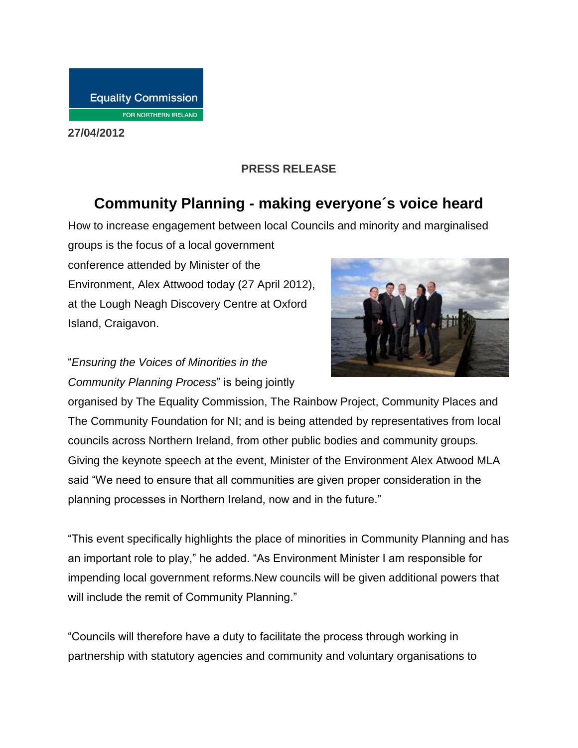**27/04/2012**

### **PRESS RELEASE**

# **Community Planning - making everyone´s voice heard**

How to increase engagement between local Councils and minority and marginalised

groups is the focus of a local government conference attended by Minister of the Environment, Alex Attwood today (27 April 2012), at the Lough Neagh Discovery Centre at Oxford Island, Craigavon.

## "*Ensuring the Voices of Minorities in the Community Planning Process*" is being jointly



organised by The Equality Commission, The Rainbow Project, Community Places and The Community Foundation for NI; and is being attended by representatives from local councils across Northern Ireland, from other public bodies and community groups. Giving the keynote speech at the event, Minister of the Environment Alex Atwood MLA said "We need to ensure that all communities are given proper consideration in the planning processes in Northern Ireland, now and in the future."

"This event specifically highlights the place of minorities in Community Planning and has an important role to play," he added. "As Environment Minister I am responsible for impending local government reforms.New councils will be given additional powers that will include the remit of Community Planning."

"Councils will therefore have a duty to facilitate the process through working in partnership with statutory agencies and community and voluntary organisations to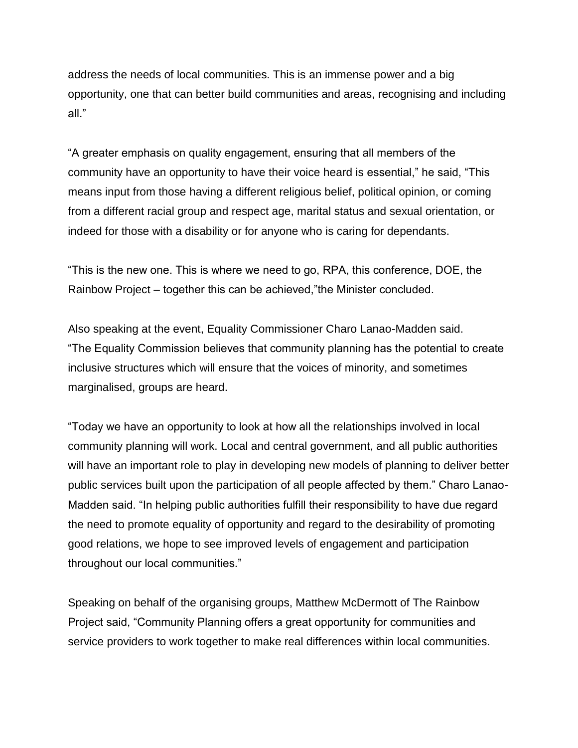address the needs of local communities. This is an immense power and a big opportunity, one that can better build communities and areas, recognising and including all."

"A greater emphasis on quality engagement, ensuring that all members of the community have an opportunity to have their voice heard is essential," he said, "This means input from those having a different religious belief, political opinion, or coming from a different racial group and respect age, marital status and sexual orientation, or indeed for those with a disability or for anyone who is caring for dependants.

"This is the new one. This is where we need to go, RPA, this conference, DOE, the Rainbow Project – together this can be achieved,"the Minister concluded.

Also speaking at the event, Equality Commissioner Charo Lanao-Madden said. "The Equality Commission believes that community planning has the potential to create inclusive structures which will ensure that the voices of minority, and sometimes marginalised, groups are heard.

"Today we have an opportunity to look at how all the relationships involved in local community planning will work. Local and central government, and all public authorities will have an important role to play in developing new models of planning to deliver better public services built upon the participation of all people affected by them." Charo Lanao-Madden said. "In helping public authorities fulfill their responsibility to have due regard the need to promote equality of opportunity and regard to the desirability of promoting good relations, we hope to see improved levels of engagement and participation throughout our local communities."

Speaking on behalf of the organising groups, Matthew McDermott of The Rainbow Project said, "Community Planning offers a great opportunity for communities and service providers to work together to make real differences within local communities.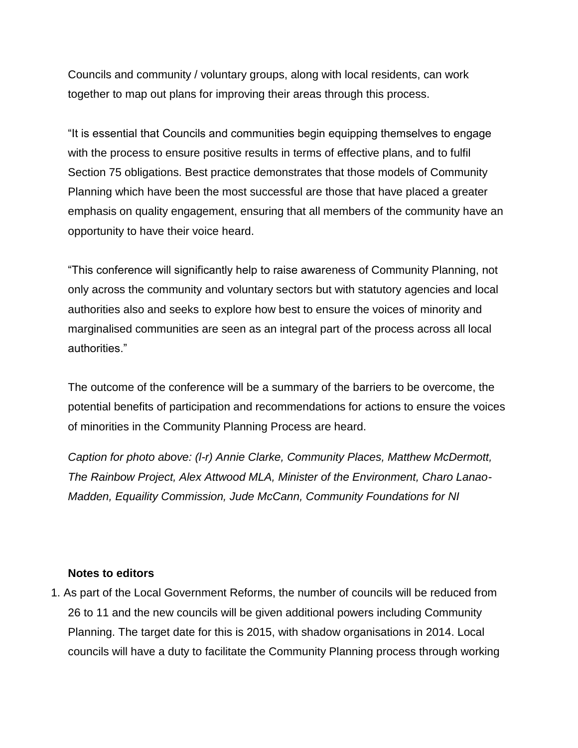Councils and community / voluntary groups, along with local residents, can work together to map out plans for improving their areas through this process.

"It is essential that Councils and communities begin equipping themselves to engage with the process to ensure positive results in terms of effective plans, and to fulfil Section 75 obligations. Best practice demonstrates that those models of Community Planning which have been the most successful are those that have placed a greater emphasis on quality engagement, ensuring that all members of the community have an opportunity to have their voice heard.

"This conference will significantly help to raise awareness of Community Planning, not only across the community and voluntary sectors but with statutory agencies and local authorities also and seeks to explore how best to ensure the voices of minority and marginalised communities are seen as an integral part of the process across all local authorities."

The outcome of the conference will be a summary of the barriers to be overcome, the potential benefits of participation and recommendations for actions to ensure the voices of minorities in the Community Planning Process are heard.

*Caption for photo above: (l-r) Annie Clarke, Community Places, Matthew McDermott, The Rainbow Project, Alex Attwood MLA, Minister of the Environment, Charo Lanao-Madden, Equaility Commission, Jude McCann, Community Foundations for NI*

#### **Notes to editors**

1. As part of the Local Government Reforms, the number of councils will be reduced from 26 to 11 and the new councils will be given additional powers including Community Planning. The target date for this is 2015, with shadow organisations in 2014. Local councils will have a duty to facilitate the Community Planning process through working